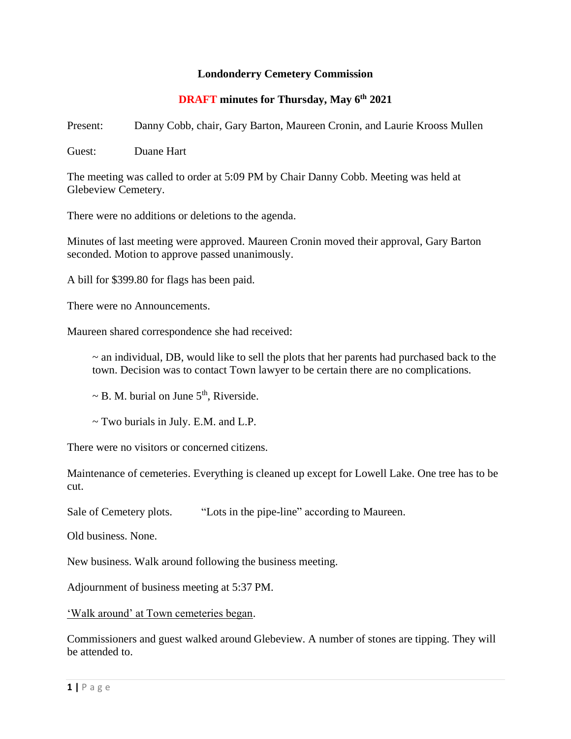## **Londonderry Cemetery Commission**

## **DRAFT minutes for Thursday, May 6th 2021**

Present: Danny Cobb, chair, Gary Barton, Maureen Cronin, and Laurie Krooss Mullen

Guest: Duane Hart

The meeting was called to order at 5:09 PM by Chair Danny Cobb. Meeting was held at Glebeview Cemetery.

There were no additions or deletions to the agenda.

Minutes of last meeting were approved. Maureen Cronin moved their approval, Gary Barton seconded. Motion to approve passed unanimously.

A bill for \$399.80 for flags has been paid.

There were no Announcements.

Maureen shared correspondence she had received:

~ an individual, DB, would like to sell the plots that her parents had purchased back to the town. Decision was to contact Town lawyer to be certain there are no complications.

 $\sim$  B. M. burial on June 5<sup>th</sup>, Riverside.

 $\sim$  Two burials in July. E.M. and L.P.

There were no visitors or concerned citizens.

Maintenance of cemeteries. Everything is cleaned up except for Lowell Lake. One tree has to be cut.

Sale of Cemetery plots. "Lots in the pipe-line" according to Maureen.

Old business. None.

New business. Walk around following the business meeting.

Adjournment of business meeting at 5:37 PM.

'Walk around' at Town cemeteries began.

Commissioners and guest walked around Glebeview. A number of stones are tipping. They will be attended to.